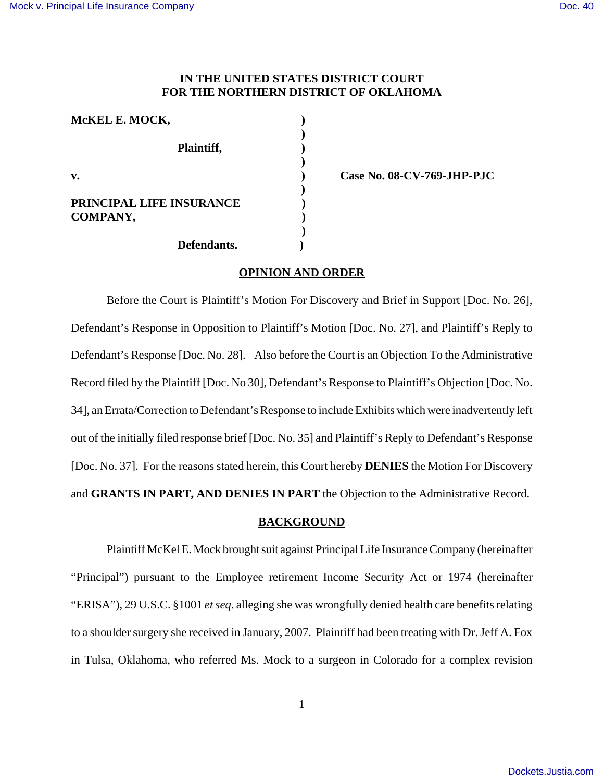# **IN THE UNITED STATES DISTRICT COURT FOR THE NORTHERN DISTRICT OF OKLAHOMA**

| McKEL E. MOCK,           |  |
|--------------------------|--|
|                          |  |
| Plaintiff,               |  |
| v.                       |  |
|                          |  |
| PRINCIPAL LIFE INSURANCE |  |
| COMPANY,                 |  |
|                          |  |
| Defendants.              |  |

**v. ) Case No. 08-CV-769-JHP-PJC**

### **OPINION AND ORDER**

Before the Court is Plaintiff's Motion For Discovery and Brief in Support [Doc. No. 26], Defendant's Response in Opposition to Plaintiff's Motion [Doc. No. 27], and Plaintiff's Reply to Defendant's Response [Doc. No. 28]. Also before the Court is an Objection To the Administrative Record filed by the Plaintiff [Doc. No 30], Defendant's Response to Plaintiff's Objection [Doc. No. 34], an Errata/Correction to Defendant's Response to include Exhibits which were inadvertently left out of the initially filed response brief [Doc. No. 35] and Plaintiff's Reply to Defendant's Response [Doc. No. 37]. For the reasons stated herein, this Court hereby **DENIES** the Motion For Discovery and **GRANTS IN PART, AND DENIES IN PART** the Objection to the Administrative Record.

#### **BACKGROUND**

Plaintiff McKel E. Mock brought suit against Principal Life Insurance Company (hereinafter "Principal") pursuant to the Employee retirement Income Security Act or 1974 (hereinafter "ERISA"), 29 U.S.C. §1001 *et seq*. alleging she was wrongfully denied health care benefits relating to a shoulder surgery she received in January, 2007. Plaintiff had been treating with Dr. Jeff A. Fox in Tulsa, Oklahoma, who referred Ms. Mock to a surgeon in Colorado for a complex revision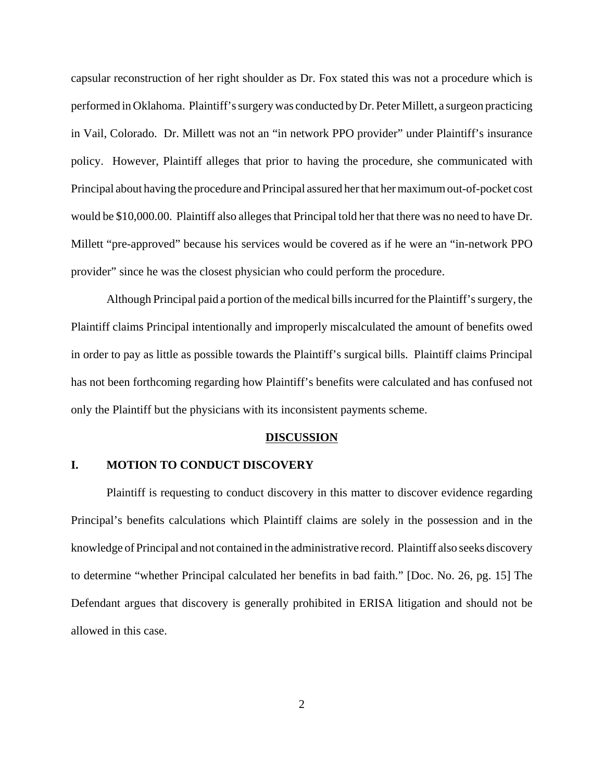capsular reconstruction of her right shoulder as Dr. Fox stated this was not a procedure which is performed in Oklahoma. Plaintiff's surgery was conducted by Dr. Peter Millett, a surgeon practicing in Vail, Colorado. Dr. Millett was not an "in network PPO provider" under Plaintiff's insurance policy. However, Plaintiff alleges that prior to having the procedure, she communicated with Principal about having the procedure and Principal assured her that her maximum out-of-pocket cost would be \$10,000.00. Plaintiff also alleges that Principal told her that there was no need to have Dr. Millett "pre-approved" because his services would be covered as if he were an "in-network PPO provider" since he was the closest physician who could perform the procedure.

Although Principal paid a portion of the medical bills incurred for the Plaintiff's surgery, the Plaintiff claims Principal intentionally and improperly miscalculated the amount of benefits owed in order to pay as little as possible towards the Plaintiff's surgical bills. Plaintiff claims Principal has not been forthcoming regarding how Plaintiff's benefits were calculated and has confused not only the Plaintiff but the physicians with its inconsistent payments scheme.

## **DISCUSSION**

# **I. MOTION TO CONDUCT DISCOVERY**

Plaintiff is requesting to conduct discovery in this matter to discover evidence regarding Principal's benefits calculations which Plaintiff claims are solely in the possession and in the knowledge of Principal and not contained in the administrative record. Plaintiff also seeks discovery to determine "whether Principal calculated her benefits in bad faith." [Doc. No. 26, pg. 15] The Defendant argues that discovery is generally prohibited in ERISA litigation and should not be allowed in this case.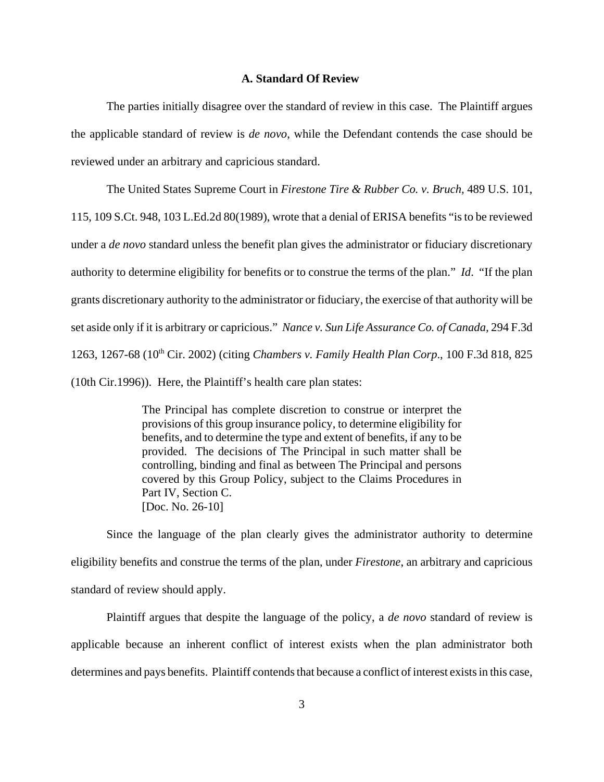#### **A. Standard Of Review**

The parties initially disagree over the standard of review in this case. The Plaintiff argues the applicable standard of review is *de novo*, while the Defendant contends the case should be reviewed under an arbitrary and capricious standard.

The United States Supreme Court in *Firestone Tire & Rubber Co. v. Bruch,* 489 U.S. 101,

115, 109 S.Ct. 948, 103 L.Ed.2d 80(1989), wrote that a denial of ERISA benefits "is to be reviewed under a *de novo* standard unless the benefit plan gives the administrator or fiduciary discretionary authority to determine eligibility for benefits or to construe the terms of the plan." *Id*. "If the plan grants discretionary authority to the administrator or fiduciary, the exercise of that authority will be set aside only if it is arbitrary or capricious." *Nance v. Sun Life Assurance Co. of Canada,* 294 F.3d 1263, 1267-68 (10th Cir. 2002) (citing *Chambers v. Family Health Plan Corp*., 100 F.3d 818, 825 (10th Cir.1996)). Here, the Plaintiff's health care plan states:

> The Principal has complete discretion to construe or interpret the provisions of this group insurance policy, to determine eligibility for benefits, and to determine the type and extent of benefits, if any to be provided. The decisions of The Principal in such matter shall be controlling, binding and final as between The Principal and persons covered by this Group Policy, subject to the Claims Procedures in Part IV, Section C. [Doc. No. 26-10]

Since the language of the plan clearly gives the administrator authority to determine eligibility benefits and construe the terms of the plan, under *Firestone*, an arbitrary and capricious standard of review should apply.

Plaintiff argues that despite the language of the policy, a *de novo* standard of review is applicable because an inherent conflict of interest exists when the plan administrator both determines and pays benefits. Plaintiff contends that because a conflict of interest exists in this case,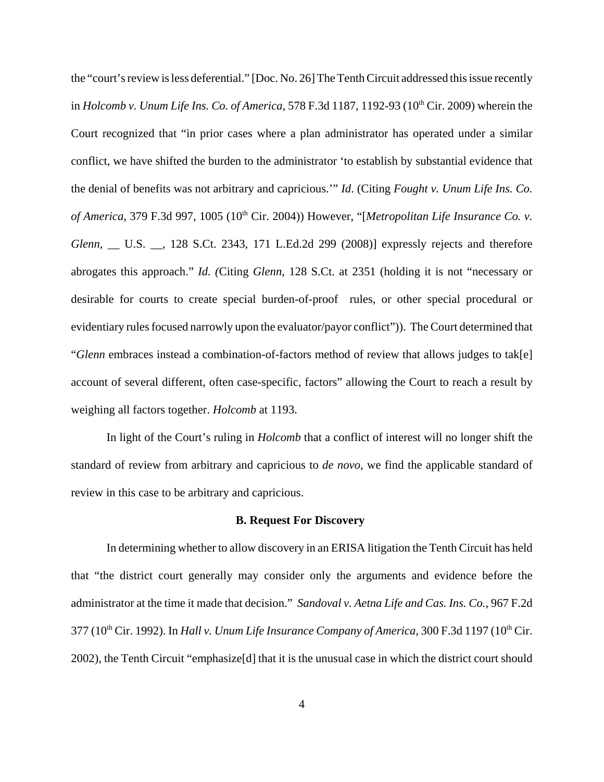the "court's review is less deferential." [Doc. No. 26] The Tenth Circuit addressed this issue recently in *Holcomb v. Unum Life Ins. Co. of America*, 578 F.3d 1187, 1192-93 (10<sup>th</sup> Cir. 2009) wherein the Court recognized that "in prior cases where a plan administrator has operated under a similar conflict, we have shifted the burden to the administrator 'to establish by substantial evidence that the denial of benefits was not arbitrary and capricious.'" *Id*. (Citing *Fought v. Unum Life Ins. Co. of America*, 379 F.3d 997, 1005 (10<sup>th</sup> Cir. 2004)) However, "[Metropolitan Life Insurance Co. v. *Glenn,* \_\_ U.S. \_\_, 128 S.Ct. 2343, 171 L.Ed.2d 299 (2008)] expressly rejects and therefore abrogates this approach." *Id. (*Citing *Glenn*, 128 S.Ct. at 2351 (holding it is not "necessary or desirable for courts to create special burden-of-proof rules, or other special procedural or evidentiary rules focused narrowly upon the evaluator/payor conflict")). The Court determined that "*Glenn* embraces instead a combination-of-factors method of review that allows judges to tak[e] account of several different, often case-specific, factors" allowing the Court to reach a result by weighing all factors together. *Holcomb* at 1193.

In light of the Court's ruling in *Holcomb* that a conflict of interest will no longer shift the standard of review from arbitrary and capricious to *de novo*, we find the applicable standard of review in this case to be arbitrary and capricious.

#### **B. Request For Discovery**

In determining whether to allow discovery in an ERISA litigation the Tenth Circuit has held that "the district court generally may consider only the arguments and evidence before the administrator at the time it made that decision." *Sandoval v. Aetna Life and Cas. Ins. Co.*, 967 F.2d 377 (10<sup>th</sup> Cir. 1992). In *Hall v. Unum Life Insurance Company of America*, 300 F.3d 1197 (10<sup>th</sup> Cir. 2002)*,* the Tenth Circuit "emphasize[d] that it is the unusual case in which the district court should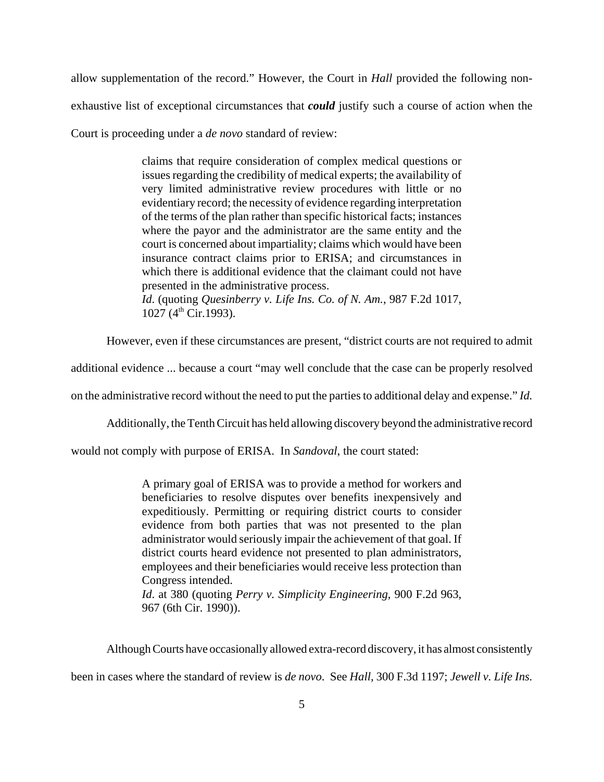allow supplementation of the record." However, the Court in *Hall* provided the following non-

exhaustive list of exceptional circumstances that *could* justify such a course of action when the

Court is proceeding under a *de novo* standard of review:

claims that require consideration of complex medical questions or issues regarding the credibility of medical experts; the availability of very limited administrative review procedures with little or no evidentiary record; the necessity of evidence regarding interpretation of the terms of the plan rather than specific historical facts; instances where the payor and the administrator are the same entity and the court is concerned about impartiality; claims which would have been insurance contract claims prior to ERISA; and circumstances in which there is additional evidence that the claimant could not have presented in the administrative process.

*Id*. (quoting *Quesinberry v. Life Ins. Co. of N. Am.*, 987 F.2d 1017,  $1027 (4<sup>th</sup> Cir.1993).$ 

However, even if these circumstances are present, "district courts are not required to admit

additional evidence ... because a court "may well conclude that the case can be properly resolved

on the administrative record without the need to put the parties to additional delay and expense." *Id.*

Additionally, the Tenth Circuit has held allowing discovery beyond the administrative record

would not comply with purpose of ERISA. In *Sandoval*, the court stated:

A primary goal of ERISA was to provide a method for workers and beneficiaries to resolve disputes over benefits inexpensively and expeditiously. Permitting or requiring district courts to consider evidence from both parties that was not presented to the plan administrator would seriously impair the achievement of that goal. If district courts heard evidence not presented to plan administrators, employees and their beneficiaries would receive less protection than Congress intended. *Id*. at 380 (quoting *Perry v. Simplicity Engineering*, 900 F.2d 963, 967 (6th Cir. 1990)).

Although Courts have occasionally allowed extra-record discovery, it has almost consistently

been in cases where the standard of review is *de novo*. See *Hall,* 300 F.3d 1197; *Jewell v. Life Ins.*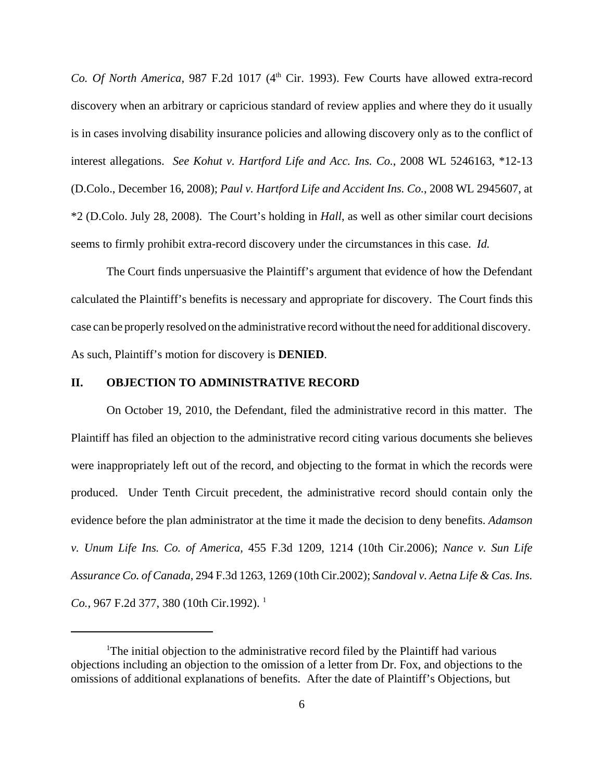*Co. Of North America*, 987 F.2d 1017 (4<sup>th</sup> Cir. 1993). Few Courts have allowed extra-record discovery when an arbitrary or capricious standard of review applies and where they do it usually is in cases involving disability insurance policies and allowing discovery only as to the conflict of interest allegations. *See Kohut v. Hartford Life and Acc. Ins. Co.*, 2008 WL 5246163, \*12-13 (D.Colo., December 16, 2008); *Paul v. Hartford Life and Accident Ins. Co.*, 2008 WL 2945607, at \*2 (D.Colo. July 28, 2008). The Court's holding in *Hall*, as well as other similar court decisions seems to firmly prohibit extra-record discovery under the circumstances in this case. *Id.*

The Court finds unpersuasive the Plaintiff's argument that evidence of how the Defendant calculated the Plaintiff's benefits is necessary and appropriate for discovery. The Court finds this case can be properly resolved on the administrative record without the need for additional discovery. As such, Plaintiff's motion for discovery is **DENIED**.

# **II. OBJECTION TO ADMINISTRATIVE RECORD**

On October 19, 2010, the Defendant, filed the administrative record in this matter. The Plaintiff has filed an objection to the administrative record citing various documents she believes were inappropriately left out of the record, and objecting to the format in which the records were produced. Under Tenth Circuit precedent, the administrative record should contain only the evidence before the plan administrator at the time it made the decision to deny benefits. *Adamson v. Unum Life Ins. Co. of America,* 455 F.3d 1209, 1214 (10th Cir.2006); *Nance v. Sun Life Assurance Co. of Canada,* 294 F.3d 1263, 1269 (10th Cir.2002); *Sandoval v. Aetna Life & Cas. Ins. Co.*, 967 F.2d 377, 380 (10th Cir.1992).<sup>1</sup>

<sup>&</sup>lt;sup>1</sup>The initial objection to the administrative record filed by the Plaintiff had various objections including an objection to the omission of a letter from Dr. Fox, and objections to the omissions of additional explanations of benefits. After the date of Plaintiff's Objections, but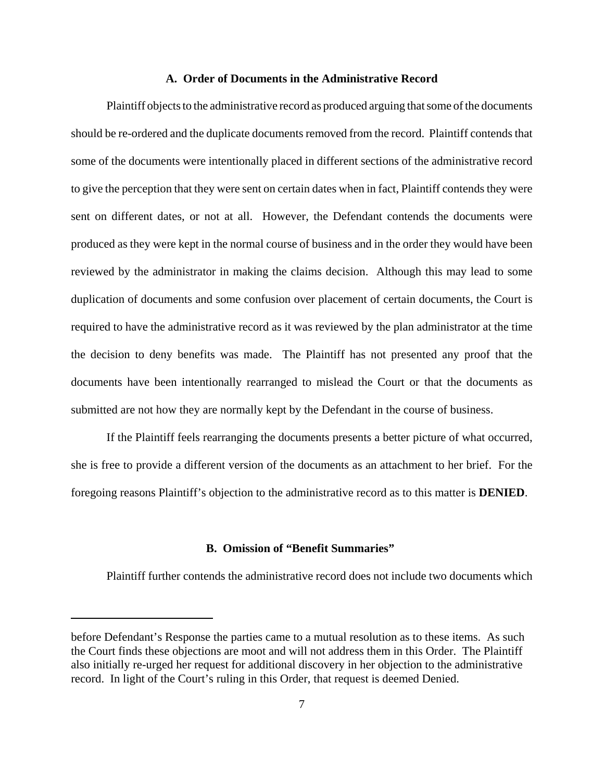#### **A. Order of Documents in the Administrative Record**

Plaintiff objects to the administrative record as produced arguing that some of the documents should be re-ordered and the duplicate documents removed from the record. Plaintiff contends that some of the documents were intentionally placed in different sections of the administrative record to give the perception that they were sent on certain dates when in fact, Plaintiff contends they were sent on different dates, or not at all. However, the Defendant contends the documents were produced as they were kept in the normal course of business and in the order they would have been reviewed by the administrator in making the claims decision. Although this may lead to some duplication of documents and some confusion over placement of certain documents, the Court is required to have the administrative record as it was reviewed by the plan administrator at the time the decision to deny benefits was made. The Plaintiff has not presented any proof that the documents have been intentionally rearranged to mislead the Court or that the documents as submitted are not how they are normally kept by the Defendant in the course of business.

If the Plaintiff feels rearranging the documents presents a better picture of what occurred, she is free to provide a different version of the documents as an attachment to her brief. For the foregoing reasons Plaintiff's objection to the administrative record as to this matter is **DENIED**.

## **B. Omission of "Benefit Summaries"**

Plaintiff further contends the administrative record does not include two documents which

before Defendant's Response the parties came to a mutual resolution as to these items. As such the Court finds these objections are moot and will not address them in this Order. The Plaintiff also initially re-urged her request for additional discovery in her objection to the administrative record. In light of the Court's ruling in this Order, that request is deemed Denied.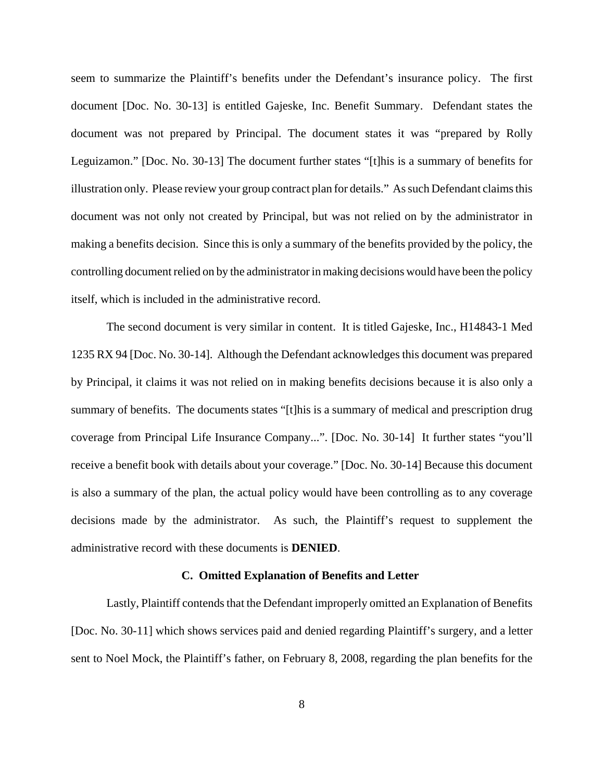seem to summarize the Plaintiff's benefits under the Defendant's insurance policy. The first document [Doc. No. 30-13] is entitled Gajeske, Inc. Benefit Summary. Defendant states the document was not prepared by Principal. The document states it was "prepared by Rolly Leguizamon." [Doc. No. 30-13] The document further states "[t]his is a summary of benefits for illustration only. Please review your group contract plan for details." As such Defendant claims this document was not only not created by Principal, but was not relied on by the administrator in making a benefits decision. Since this is only a summary of the benefits provided by the policy, the controlling document relied on by the administrator in making decisions would have been the policy itself, which is included in the administrative record.

The second document is very similar in content. It is titled Gajeske, Inc., H14843-1 Med 1235 RX 94 [Doc. No. 30-14]. Although the Defendant acknowledges this document was prepared by Principal, it claims it was not relied on in making benefits decisions because it is also only a summary of benefits. The documents states "[t]his is a summary of medical and prescription drug coverage from Principal Life Insurance Company...". [Doc. No. 30-14] It further states "you'll receive a benefit book with details about your coverage." [Doc. No. 30-14] Because this document is also a summary of the plan, the actual policy would have been controlling as to any coverage decisions made by the administrator. As such, the Plaintiff's request to supplement the administrative record with these documents is **DENIED**.

### **C. Omitted Explanation of Benefits and Letter**

Lastly, Plaintiff contends that the Defendant improperly omitted an Explanation of Benefits [Doc. No. 30-11] which shows services paid and denied regarding Plaintiff's surgery, and a letter sent to Noel Mock, the Plaintiff's father, on February 8, 2008, regarding the plan benefits for the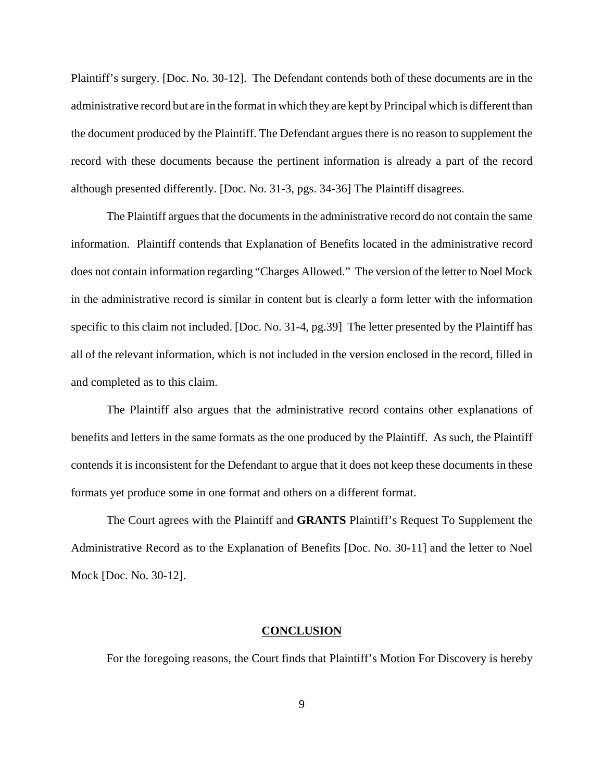Plaintiff's surgery. [Doc. No. 30-12]. The Defendant contends both of these documents are in the administrative record but are in the format in which they are kept by Principal which is different than the document produced by the Plaintiff. The Defendant argues there is no reason to supplement the record with these documents because the pertinent information is already a part of the record although presented differently. [Doc. No. 31-3, pgs. 34-36] The Plaintiff disagrees.

The Plaintiff argues that the documents in the administrative record do not contain the same information. Plaintiff contends that Explanation of Benefits located in the administrative record does not contain information regarding "Charges Allowed." The version of the letter to Noel Mock in the administrative record is similar in content but is clearly a form letter with the information specific to this claim not included. [Doc. No. 31-4, pg.39] The letter presented by the Plaintiff has all of the relevant information, which is not included in the version enclosed in the record, filled in and completed as to this claim.

The Plaintiff also argues that the administrative record contains other explanations of benefits and letters in the same formats as the one produced by the Plaintiff. As such, the Plaintiff contends it is inconsistent for the Defendant to argue that it does not keep these documents in these formats yet produce some in one format and others on a different format.

The Court agrees with the Plaintiff and **GRANTS** Plaintiff's Request To Supplement the Administrative Record as to the Explanation of Benefits [Doc. No. 30-11] and the letter to Noel Mock [Doc. No. 30-12].

#### **CONCLUSION**

For the foregoing reasons, the Court finds that Plaintiff's Motion For Discovery is hereby